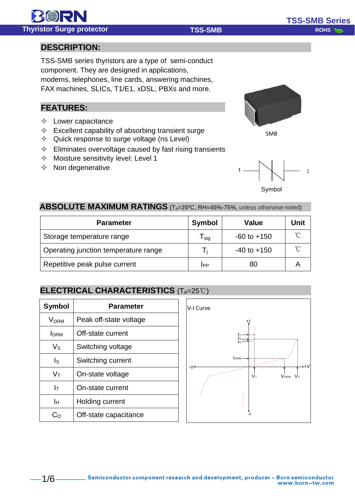**DESCRIPTION:**

# TSS-SMB series thyristors are a type of semi-conduct component. They are designed in applications,

modems, telephones, line cards, answering machines, FAX machines, SLICs, T1/E1, xDSL, PBXs and more.

# **FEATURES:**

- $\Diamond$  Lower capacitance
- $\Diamond$  Excellent capability of absorbing transient surge
- $\Diamond$  Quick response to surge voltage (ns Level)
- $\Diamond$  Eliminates overvoltage caused by fast rising transients
- $\Diamond$  Moisture sensitivity level: Level 1
- $\Diamond$  Non degenerative



Symbol

## **ABSOLUTE MAXIMUM RATINGS** (T<sub>A</sub>=25°C, RH=45%-75%, unless otherwise noted)

| <b>Parameter</b>                     | Symbol           | Value           | Unit |
|--------------------------------------|------------------|-----------------|------|
| Storage temperature range            | $I_{\text{stq}}$ | $-60$ to $+150$ |      |
| Operating junction temperature range | Ι.               | $-40$ to $+150$ |      |
| Repetitive peak pulse current        | IPP              | 80              |      |

# **ELECTRICAL CHARACTERISTICS** (TA=25℃)

| <b>Symbol</b>    | <b>Parameter</b>       |
|------------------|------------------------|
| V <sub>DRM</sub> | Peak off-state voltage |
| <b>I</b> DRM     | Off-state current      |
| Vs               | Switching voltage      |
| Is               | Switching current      |
| Vт               | On-state voltage       |
| Iт               | On-state current       |
| Iн               | Holding current        |
| C∩               | Off-state capacitance  |





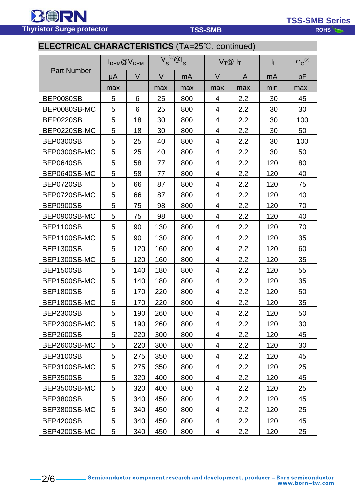**BORN Thyristor Surge protector Rowsell Structure TSS-SMB** 

**TSS-SMB Series**

# **ELECTRICAL CHARACTERISTICS** (TA=25℃, continued)

| <b>Part Number</b> | I <sub>DRM</sub> @ V <sub>DRM</sub> |        | $^{\circledR}$ $^{\circ}$ $^{\circ}$ $^{\circ}$ $^{\circ}$ $^{\circ}$ $^{\circ}$ $^{\circ}$ $^{\circ}$ $^{\circ}$ $^{\circ}$ $^{\circ}$ $^{\circ}$ $^{\circ}$ $^{\circ}$ $^{\circ}$ $^{\circ}$ $^{\circ}$ $^{\circ}$ $^{\circ}$ $^{\circ}$ $^{\circ}$ $^{\circ}$ $^{\circ}$ $^{\circ}$ $^{\circ}$ $^{\circ}$ $^{\circ}$ $^{\circ}$ $^{\circ}$ $^{\circ}$ $^$<br>$\overline{V}_{s}$ |     | $V_T@I_T$ |                  | Iн  | $C_0^{\circledR}$ |
|--------------------|-------------------------------------|--------|------------------------------------------------------------------------------------------------------------------------------------------------------------------------------------------------------------------------------------------------------------------------------------------------------------------------------------------------------------------------------------|-----|-----------|------------------|-----|-------------------|
|                    | μA                                  | $\vee$ | V                                                                                                                                                                                                                                                                                                                                                                                  | mA  | V         | A                | mA  | рF                |
|                    | max                                 |        | max                                                                                                                                                                                                                                                                                                                                                                                | max | max       | max              | min | max               |
| <b>BEP0080SB</b>   | 5                                   | 6      | 25                                                                                                                                                                                                                                                                                                                                                                                 | 800 | 4         | 2.2              | 30  | 45                |
| BEP0080SB-MC       | 5                                   | 6      | 25                                                                                                                                                                                                                                                                                                                                                                                 | 800 | 4         | 2.2              | 30  | 30                |
| <b>BEP0220SB</b>   | 5                                   | 18     | 30                                                                                                                                                                                                                                                                                                                                                                                 | 800 | 4         | 2.2              | 30  | 100               |
| BEP0220SB-MC       | 5                                   | 18     | 30                                                                                                                                                                                                                                                                                                                                                                                 | 800 | 4         | 2.2              | 30  | 50                |
| <b>BEP0300SB</b>   | 5                                   | 25     | 40                                                                                                                                                                                                                                                                                                                                                                                 | 800 | 4         | 2.2              | 30  | 100               |
| BEP0300SB-MC       | 5                                   | 25     | 40                                                                                                                                                                                                                                                                                                                                                                                 | 800 | 4         | 2.2              | 30  | 50                |
| <b>BEP0640SB</b>   | 5                                   | 58     | 77                                                                                                                                                                                                                                                                                                                                                                                 | 800 | 4         | 2.2              | 120 | 80                |
| BEP0640SB-MC       | 5                                   | 58     | 77                                                                                                                                                                                                                                                                                                                                                                                 | 800 | 4         | 2.2              | 120 | 40                |
| BEP0720SB          | 5                                   | 66     | 87                                                                                                                                                                                                                                                                                                                                                                                 | 800 | 4         | 2.2              | 120 | 75                |
| BEP0720SB-MC       | 5                                   | 66     | 87                                                                                                                                                                                                                                                                                                                                                                                 | 800 | 4         | 2.2              | 120 | 40                |
| <b>BEP0900SB</b>   | 5                                   | 75     | 98                                                                                                                                                                                                                                                                                                                                                                                 | 800 | 4         | 2.2              | 120 | 70                |
| BEP0900SB-MC       | 5                                   | 75     | 98                                                                                                                                                                                                                                                                                                                                                                                 | 800 | 4         | 2.2              | 120 | 40                |
| <b>BEP1100SB</b>   | 5                                   | 90     | 130                                                                                                                                                                                                                                                                                                                                                                                | 800 | 4         | 2.2              | 120 | 70                |
| BEP1100SB-MC       | 5                                   | 90     | 130                                                                                                                                                                                                                                                                                                                                                                                | 800 | 4         | 2.2              | 120 | 35                |
| <b>BEP1300SB</b>   | 5                                   | 120    | 160                                                                                                                                                                                                                                                                                                                                                                                | 800 | 4         | 2.2              | 120 | 60                |
| BEP1300SB-MC       | 5                                   | 120    | 160                                                                                                                                                                                                                                                                                                                                                                                | 800 | 4         | 2.2              | 120 | 35                |
| <b>BEP1500SB</b>   | 5                                   | 140    | 180                                                                                                                                                                                                                                                                                                                                                                                | 800 | 4         | 2.2              | 120 | 55                |
| BEP1500SB-MC       | 5                                   | 140    | 180                                                                                                                                                                                                                                                                                                                                                                                | 800 | 4         | 2.2              | 120 | 35                |
| <b>BEP1800SB</b>   | 5                                   | 170    | 220                                                                                                                                                                                                                                                                                                                                                                                | 800 | 4         | 2.2              | 120 | 50                |
| BEP1800SB-MC       | 5                                   | 170    | 220                                                                                                                                                                                                                                                                                                                                                                                | 800 | 4         | 2.2              | 120 | 35                |
| <b>BEP2300SB</b>   | 5                                   | 190    | 260                                                                                                                                                                                                                                                                                                                                                                                | 800 | 4         | 2.2              | 120 | 50                |
| BEP2300SB-MC       | 5                                   | 190    | 260                                                                                                                                                                                                                                                                                                                                                                                | 800 | 4         | 2.2              | 120 | 30                |
| <b>BEP2600SB</b>   | 5                                   | 220    | 300                                                                                                                                                                                                                                                                                                                                                                                | 800 | 4         | 2.2              | 120 | 45                |
| BEP2600SB-MC       | 5                                   | 220    | 300                                                                                                                                                                                                                                                                                                                                                                                | 800 | 4         | 2.2              | 120 | 30                |
| <b>BEP3100SB</b>   | 5                                   | 275    | 350                                                                                                                                                                                                                                                                                                                                                                                | 800 | 4         | $2.2\phantom{0}$ | 120 | 45                |
| BEP3100SB-MC       | 5                                   | 275    | 350                                                                                                                                                                                                                                                                                                                                                                                | 800 | 4         | $2.2\phantom{0}$ | 120 | 25                |
| <b>BEP3500SB</b>   | 5                                   | 320    | 400                                                                                                                                                                                                                                                                                                                                                                                | 800 | 4         | $2.2\phantom{0}$ | 120 | 45                |
| BEP3500SB-MC       | 5                                   | 320    | 400                                                                                                                                                                                                                                                                                                                                                                                | 800 | 4         | $2.2\phantom{0}$ | 120 | 25                |
| <b>BEP3800SB</b>   | 5                                   | 340    | 450                                                                                                                                                                                                                                                                                                                                                                                | 800 | 4         | $2.2\phantom{0}$ | 120 | 45                |
| BEP3800SB-MC       | 5                                   | 340    | 450                                                                                                                                                                                                                                                                                                                                                                                | 800 | 4         | $2.2\phantom{0}$ | 120 | 25                |
| <b>BEP4200SB</b>   | 5                                   | 340    | 450                                                                                                                                                                                                                                                                                                                                                                                | 800 | 4         | 2.2              | 120 | 45                |
| BEP4200SB-MC       | 5                                   | 340    | 450                                                                                                                                                                                                                                                                                                                                                                                | 800 | 4         | 2.2              | 120 | 25                |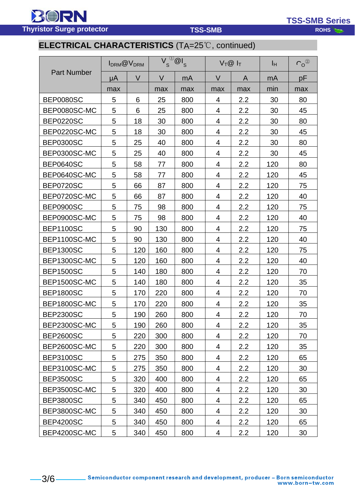**BORN Thyristor Surge protector ROHS ROHS** 

**TSS-SMB Series**

# **ELECTRICAL CHARACTERISTICS** (TA=25℃, continued)

| <b>Part Number</b> | I <sub>DRM</sub> @ V <sub>DRM</sub> |        | $V_{s}^{(j)}$ @l <sub>s</sub> |     | $V_T@I_T$ |                  | Iн  | $\mathsf{C_{O}}^{(2)}$ |
|--------------------|-------------------------------------|--------|-------------------------------|-----|-----------|------------------|-----|------------------------|
|                    | μA                                  | $\vee$ | $\vee$                        | mA  | V         | A                | mA  | pF                     |
|                    | max                                 |        | max                           | max | max       | max              | min | max                    |
| <b>BEP0080SC</b>   | 5                                   | 6      | 25                            | 800 | 4         | 2.2              | 30  | 80                     |
| BEP0080SC-MC       | 5                                   | 6      | 25                            | 800 | 4         | 2.2              | 30  | 45                     |
| <b>BEP0220SC</b>   | 5                                   | 18     | 30                            | 800 | 4         | 2.2              | 30  | 80                     |
| BEP0220SC-MC       | 5                                   | 18     | 30                            | 800 | 4         | 2.2              | 30  | 45                     |
| <b>BEP0300SC</b>   | 5                                   | 25     | 40                            | 800 | 4         | 2.2              | 30  | 80                     |
| BEP0300SC-MC       | 5                                   | 25     | 40                            | 800 | 4         | 2.2              | 30  | 45                     |
| <b>BEP0640SC</b>   | 5                                   | 58     | 77                            | 800 | 4         | 2.2              | 120 | 80                     |
| BEP0640SC-MC       | 5                                   | 58     | 77                            | 800 | 4         | 2.2              | 120 | 45                     |
| <b>BEP0720SC</b>   | 5                                   | 66     | 87                            | 800 | 4         | 2.2              | 120 | 75                     |
| BEP0720SC-MC       | 5                                   | 66     | 87                            | 800 | 4         | 2.2              | 120 | 40                     |
| <b>BEP0900SC</b>   | 5                                   | 75     | 98                            | 800 | 4         | 2.2              | 120 | 75                     |
| BEP0900SC-MC       | 5                                   | 75     | 98                            | 800 | 4         | 2.2              | 120 | 40                     |
| <b>BEP1100SC</b>   | 5                                   | 90     | 130                           | 800 | 4         | 2.2              | 120 | 75                     |
| BEP1100SC-MC       | 5                                   | 90     | 130                           | 800 | 4         | 2.2              | 120 | 40                     |
| <b>BEP1300SC</b>   | 5                                   | 120    | 160                           | 800 | 4         | 2.2              | 120 | 75                     |
| BEP1300SC-MC       | 5                                   | 120    | 160                           | 800 | 4         | 2.2              | 120 | 40                     |
| <b>BEP1500SC</b>   | 5                                   | 140    | 180                           | 800 | 4         | 2.2              | 120 | 70                     |
| BEP1500SC-MC       | 5                                   | 140    | 180                           | 800 | 4         | 2.2              | 120 | 35                     |
| <b>BEP1800SC</b>   | 5                                   | 170    | 220                           | 800 | 4         | 2.2              | 120 | 70                     |
| BEP1800SC-MC       | 5                                   | 170    | 220                           | 800 | 4         | 2.2              | 120 | 35                     |
| <b>BEP2300SC</b>   | 5                                   | 190    | 260                           | 800 | 4         | 2.2              | 120 | 70                     |
| BEP2300SC-MC       | 5                                   | 190    | 260                           | 800 | 4         | 2.2              | 120 | 35                     |
| <b>BEP2600SC</b>   | 5                                   | 220    | 300                           | 800 | 4         | 2.2              | 120 | 70                     |
| BEP2600SC-MC       | 5                                   | 220    | 300                           | 800 | 4         | 2.2              | 120 | 35                     |
| <b>BEP3100SC</b>   | 5                                   | 275    | 350                           | 800 | 4         | 2.2              | 120 | 65                     |
| BEP3100SC-MC       | 5                                   | 275    | 350                           | 800 | 4         | 2.2              | 120 | 30                     |
| <b>BEP3500SC</b>   | 5                                   | 320    | 400                           | 800 | 4         | 2.2              | 120 | 65                     |
| BEP3500SC-MC       | 5                                   | 320    | 400                           | 800 | 4         | 2.2              | 120 | 30                     |
| <b>BEP3800SC</b>   | 5                                   | 340    | 450                           | 800 | 4         | 2.2              | 120 | 65                     |
| BEP3800SC-MC       | 5                                   | 340    | 450                           | 800 | 4         | $2.2\phantom{0}$ | 120 | 30                     |
| <b>BEP4200SC</b>   | 5                                   | 340    | 450                           | 800 | 4         | 2.2              | 120 | 65                     |
| BEP4200SC-MC       | 5                                   | 340    | 450                           | 800 | 4         | 2.2              | 120 | 30                     |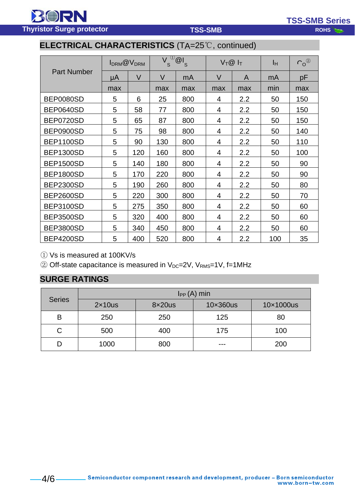RORN **Thyristor Surge protector ROMS ROHS** 

**TSS-SMB Series**

# **ELECTRICAL CHARACTERISTICS** (TA=25℃, continued)

|                    | $I_{DRM}$ @ $V_{DRM}$ |        | $\vee$<br>$\mathsf{S}$ | $\frac{1}{2}$ $\frac{1}{s}$ | $V_T@I_T$      |     | Iн  | $C_0^{\circledR}$ |
|--------------------|-----------------------|--------|------------------------|-----------------------------|----------------|-----|-----|-------------------|
| <b>Part Number</b> | μA                    | $\vee$ | $\vee$                 | mA                          | $\vee$         | A   | mA  | pF                |
|                    | max                   |        | max                    | max                         | max            | max | min | max               |
| <b>BEP0080SD</b>   | 5                     | 6      | 25                     | 800                         | 4              | 2.2 | 50  | 150               |
| <b>BEP0640SD</b>   | 5                     | 58     | 77                     | 800                         | 4              | 2.2 | 50  | 150               |
| BEP0720SD          | 5                     | 65     | 87                     | 800                         | 4              | 2.2 | 50  | 150               |
| <b>BEP0900SD</b>   | 5                     | 75     | 98                     | 800                         | 4              | 2.2 | 50  | 140               |
| <b>BEP1100SD</b>   | 5                     | 90     | 130                    | 800                         | 4              | 2.2 | 50  | 110               |
| <b>BEP1300SD</b>   | 5                     | 120    | 160                    | 800                         | 4              | 2.2 | 50  | 100               |
| <b>BEP1500SD</b>   | 5                     | 140    | 180                    | 800                         | 4              | 2.2 | 50  | 90                |
| <b>BEP1800SD</b>   | 5                     | 170    | 220                    | 800                         | 4              | 2.2 | 50  | 90                |
| <b>BEP2300SD</b>   | 5                     | 190    | 260                    | 800                         | 4              | 2.2 | 50  | 80                |
| <b>BEP2600SD</b>   | 5                     | 220    | 300                    | 800                         | 4              | 2.2 | 50  | 70                |
| <b>BEP3100SD</b>   | 5                     | 275    | 350                    | 800                         | $\overline{4}$ | 2.2 | 50  | 60                |
| <b>BEP3500SD</b>   | 5                     | 320    | 400                    | 800                         | 4              | 2.2 | 50  | 60                |
| <b>BEP3800SD</b>   | 5                     | 340    | 450                    | 800                         | 4              | 2.2 | 50  | 60                |
| <b>BEP4200SD</b>   | 5                     | 400    | 520                    | 800                         | 4              | 2.2 | 100 | 35                |

① Vs is measured at 100KV/s

 $\textcircled{2}$  Off-state capacitance is measured in V<sub>DC</sub>=2V, V<sub>RMS</sub>=1V, f=1MHz

## **SURGE RATINGS**

| <b>Series</b> | $I_{PP}(A)$ min |        |          |           |  |  |
|---------------|-----------------|--------|----------|-----------|--|--|
|               | $2\times10$ us  | 8x20us | 10×360us | 10×1000us |  |  |
| B             | 250             | 250    | 125      | 80        |  |  |
|               | 500             | 400    | 175      | 100       |  |  |
|               | 1000            | 800    | ---      | 200       |  |  |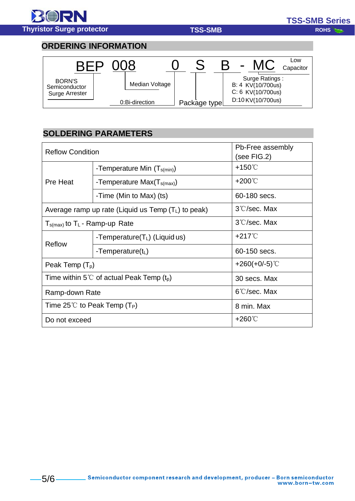

### **ORDERING INFORMATION**



## **SOLDERING PARAMETERS**

| <b>Reflow Condition</b>                  | Pb-Free assembly<br>(see FIG.2)                       |                        |  |
|------------------------------------------|-------------------------------------------------------|------------------------|--|
|                                          | -Temperature Min $(T_{s(min)})$                       | $+150^{\circ}$         |  |
| Pre Heat                                 | -Temperature $Max(T_{s(max)})$                        | $+200^{\circ}$ C       |  |
|                                          | -Time (Min to Max) (ts)                               | 60-180 secs.           |  |
|                                          | Average ramp up rate (Liquid us Temp $(T_L)$ to peak) | 3°C/sec. Max           |  |
| $T_{s(max)}$ to $T_L$ - Ramp-up Rate     |                                                       | 3°C/sec. Max           |  |
| Reflow                                   | -Temperature( $T_L$ ) (Liquid us)                     | $+217^{\circ}$         |  |
|                                          | -Temperature( $t_L$ )                                 | 60-150 secs.           |  |
| Peak Temp $(T_p)$                        |                                                       | $+260(+0/-5)$ °C       |  |
|                                          | Time within 5°C of actual Peak Temp $(t_0)$           | 30 secs. Max           |  |
| Ramp-down Rate                           |                                                       | $6^{\circ}$ C/sec. Max |  |
| Time 25°C to Peak Temp (T <sub>P</sub> ) |                                                       | 8 min. Max             |  |
| Do not exceed                            |                                                       | $+260^{\circ}$ C       |  |